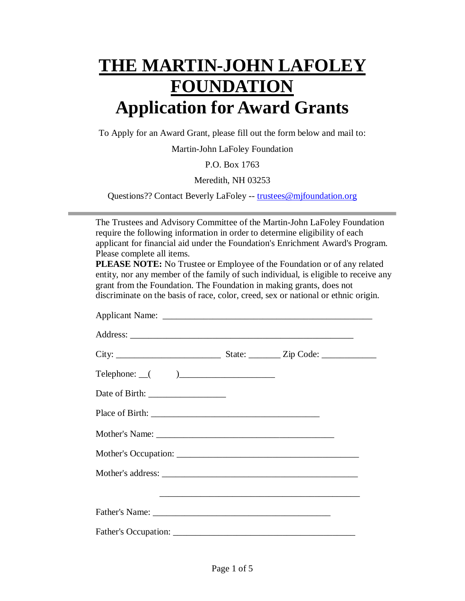# **THE MARTIN-JOHN LAFOLEY FOUNDATION Application for Award Grants**

To Apply for an Award Grant, please fill out the form below and mail to:

Martin-John LaFoley Foundation

P.O. Box 1763

Meredith, NH 03253

Questions?? Contact Beverly LaFoley -- trustees@mjfoundation.org

The Trustees and Advisory Committee of the Martin-John LaFoley Foundation require the following information in order to determine eligibility of each applicant for financial aid under the Foundation's Enrichment Award's Program. Please complete all items.

**PLEASE NOTE:** No Trustee or Employee of the Foundation or of any related entity, nor any member of the family of such individual, is eligible to receive any grant from the Foundation. The Foundation in making grants, does not discriminate on the basis of race, color, creed, sex or national or ethnic origin.

| $\begin{tabular}{c} Telephone: \underline{\hspace{1cm}} \begin{tabular}{c} \textbf{1} & \textbf{2} & \textbf{3} & \textbf{3} \\ \textbf{2} & \textbf{3} & \textbf{1} & \textbf{1} \\ \textbf{3} & \textbf{1} & \textbf{1} & \textbf{1} \\ \textbf{4} & \textbf{1} & \textbf{1} & \textbf{1} \\ \textbf{5} & \textbf{1} & \textbf{1} & \textbf{1} \\ \textbf{2} & \textbf{1} & \textbf{1} & \textbf{1} \\ \textbf{3} & \textbf{1} & \textbf{1} & \textbf{$ |  |  |
|-----------------------------------------------------------------------------------------------------------------------------------------------------------------------------------------------------------------------------------------------------------------------------------------------------------------------------------------------------------------------------------------------------------------------------------------------------------|--|--|
|                                                                                                                                                                                                                                                                                                                                                                                                                                                           |  |  |
|                                                                                                                                                                                                                                                                                                                                                                                                                                                           |  |  |
|                                                                                                                                                                                                                                                                                                                                                                                                                                                           |  |  |
|                                                                                                                                                                                                                                                                                                                                                                                                                                                           |  |  |
|                                                                                                                                                                                                                                                                                                                                                                                                                                                           |  |  |
|                                                                                                                                                                                                                                                                                                                                                                                                                                                           |  |  |
|                                                                                                                                                                                                                                                                                                                                                                                                                                                           |  |  |
|                                                                                                                                                                                                                                                                                                                                                                                                                                                           |  |  |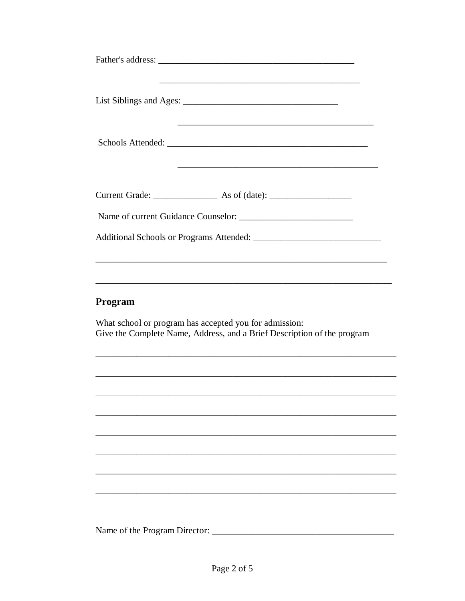#### Program

What school or program has accepted you for admission: Give the Complete Name, Address, and a Brief Description of the program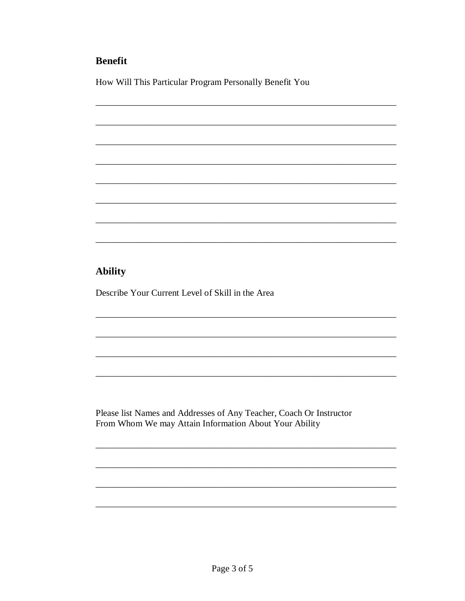# **Benefit**

How Will This Particular Program Personally Benefit You

# **Ability**

Describe Your Current Level of Skill in the Area

Please list Names and Addresses of Any Teacher, Coach Or Instructor From Whom We may Attain Information About Your Ability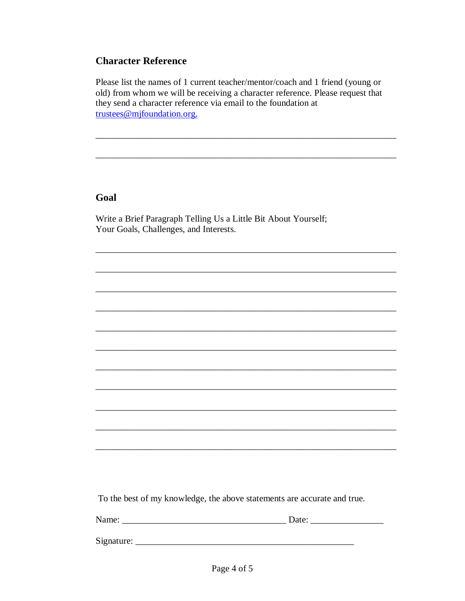#### **Character Reference**

Please list the names of 1 current teacher/mentor/coach and 1 friend (young or old) from whom we will be receiving a character reference. Please request that they send a character reference via email to the foundation at trustees@mjfoundation.org.

### Goal

Write a Brief Paragraph Telling Us a Little Bit About Yourself; Your Goals, Challenges, and Interests.

To the best of my knowledge, the above statements are accurate and true.

Name: Date: Date: